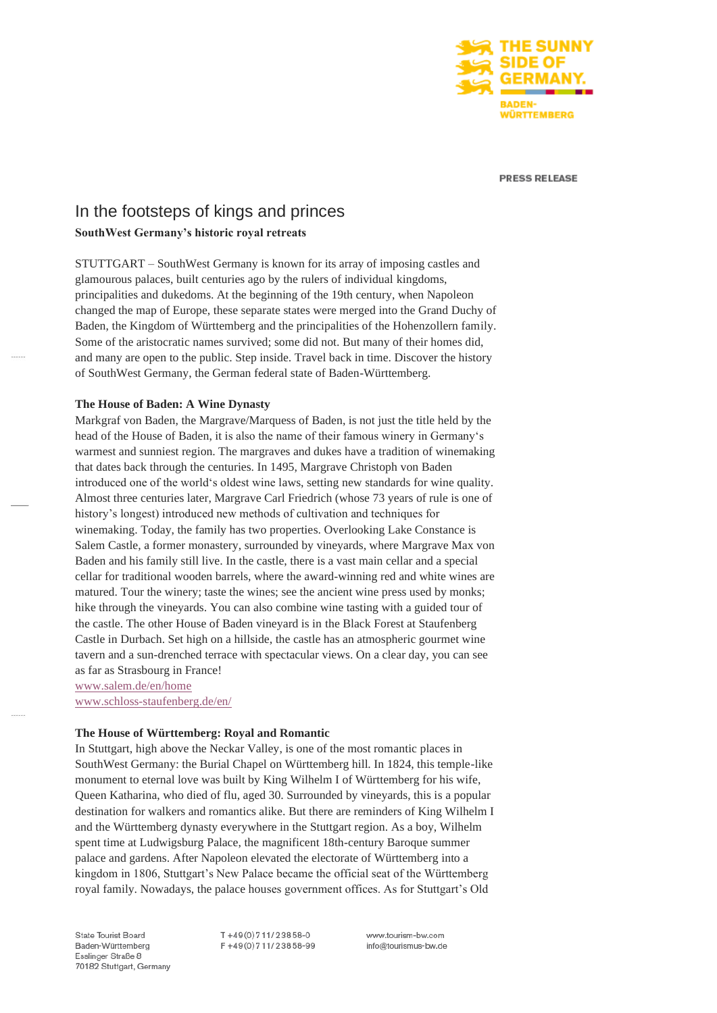

**PRESS RELEASE** 

# In the footsteps of kings and princes **SouthWest Germany's historic royal retreats**

STUTTGART – SouthWest Germany is known for its array of imposing castles and glamourous palaces, built centuries ago by the rulers of individual kingdoms, principalities and dukedoms. At the beginning of the 19th century, when Napoleon changed the map of Europe, these separate states were merged into the Grand Duchy of Baden, the Kingdom of Württemberg and the principalities of the Hohenzollern family. Some of the aristocratic names survived; some did not. But many of their homes did, and many are open to the public. Step inside. Travel back in time. Discover the history of SouthWest Germany, the German federal state of Baden-Württemberg.

#### **The House of Baden: A Wine Dynasty**

Markgraf von Baden, the Margrave/Marquess of Baden, is not just the title held by the head of the House of Baden, it is also the name of their famous winery in Germany's warmest and sunniest region. The margraves and dukes have a tradition of winemaking that dates back through the centuries. In 1495, Margrave Christoph von Baden introduced one of the world's oldest wine laws, setting new standards for wine quality. Almost three centuries later, Margrave Carl Friedrich (whose 73 years of rule is one of history's longest) introduced new methods of cultivation and techniques for winemaking. Today, the family has two properties. Overlooking Lake Constance is Salem Castle, a former monastery, surrounded by vineyards, where Margrave Max von Baden and his family still live. In the castle, there is a vast main cellar and a special cellar for traditional wooden barrels, where the award-winning red and white wines are matured. Tour the winery; taste the wines; see the ancient wine press used by monks; hike through the vineyards. You can also combine wine tasting with a guided tour of the castle. The other House of Baden vineyard is in the Black Forest at Staufenberg Castle in Durbach. Set high on a hillside, the castle has an atmospheric gourmet wine tavern and a sun-drenched terrace with spectacular views. On a clear day, you can see as far as Strasbourg in France!

[www.salem.de/en/home](http://www.salem.de/en/home) [www.schloss-staufenberg.de/en/](http://www.schloss-staufenberg.de/en/)

**The House of Württemberg: Royal and Romantic**

In Stuttgart, high above the Neckar Valley, is one of the most romantic places in SouthWest Germany: the Burial Chapel on Württemberg hill. In 1824, this temple-like monument to eternal love was built by King Wilhelm I of Württemberg for his wife, Queen Katharina, who died of flu, aged 30. Surrounded by vineyards, this is a popular destination for walkers and romantics alike. But there are reminders of King Wilhelm I and the Württemberg dynasty everywhere in the Stuttgart region. As a boy, Wilhelm spent time at Ludwigsburg Palace, the magnificent 18th-century Baroque summer palace and gardens. After Napoleon elevated the electorate of Württemberg into a kingdom in 1806, Stuttgart's New Palace became the official seat of the Württemberg royal family. Nowadays, the palace houses government offices. As for Stuttgart's Old

State Tourist Board Baden-Württemberg Esslinger Straße 8 70182 Stuttgart, Germany T+49(0)711/23858-0 F+49(0)711/23858-99 www.tourism-bw.com info@tourismus-bw.de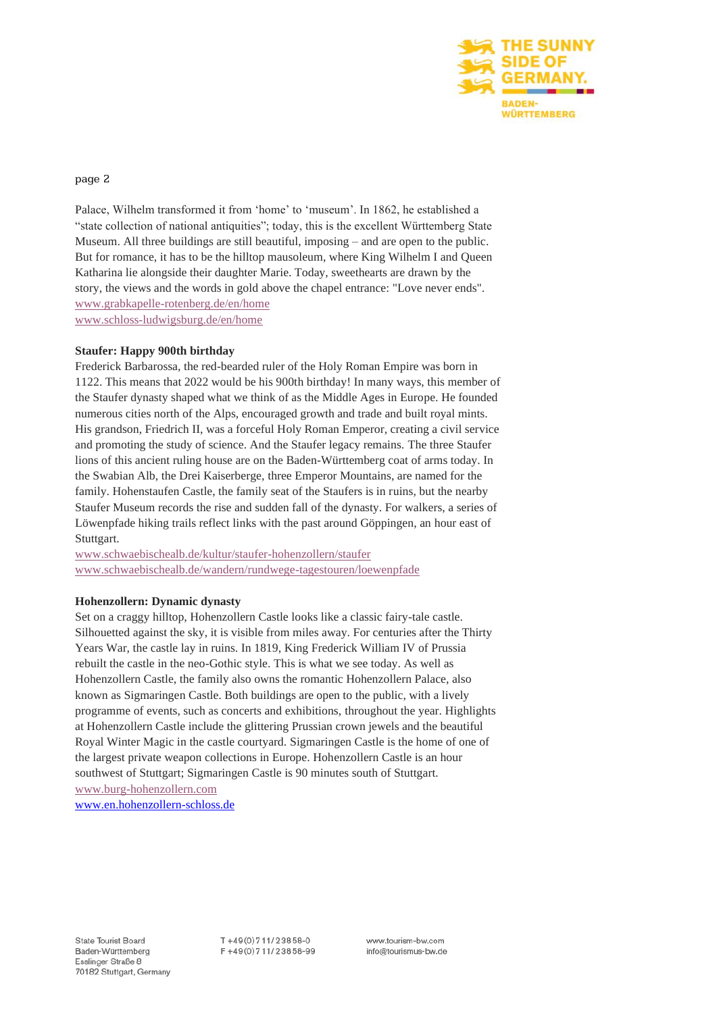

#### page 2

Palace, Wilhelm transformed it from 'home' to 'museum'. In 1862, he established a "state collection of national antiquities"; today, this is the excellent Württemberg State Museum. All three buildings are still beautiful, imposing – and are open to the public. But for romance, it has to be the hilltop mausoleum, where King Wilhelm I and Queen Katharina lie alongside their daughter Marie. Today, sweethearts are drawn by the story, the views and the words in gold above the chapel entrance: "Love never ends". [www.grabkapelle-rotenberg.de/en/home](http://www.grabkapelle-rotenberg.de/en/home) [www.schloss-ludwigsburg.de/en/home](http://www.schloss-ludwigsburg.de/en/home)

# **Staufer: Happy 900th birthday**

Frederick Barbarossa, the red-bearded ruler of the Holy Roman Empire was born in 1122. This means that 2022 would be his 900th birthday! In many ways, this member of the Staufer dynasty shaped what we think of as the Middle Ages in Europe. He founded numerous cities north of the Alps, encouraged growth and trade and built royal mints. His grandson, Friedrich II, was a forceful Holy Roman Emperor, creating a civil service and promoting the study of science. And the Staufer legacy remains. The three Staufer lions of this ancient ruling house are on the Baden-Württemberg coat of arms today. In the Swabian Alb, the Drei Kaiserberge, three Emperor Mountains, are named for the family. Hohenstaufen Castle, the family seat of the Staufers is in ruins, but the nearby Staufer Museum records the rise and sudden fall of the dynasty. For walkers, a series of Löwenpfade hiking trails reflect links with the past around Göppingen, an hour east of Stuttgart.

[www.schwaebischealb.de/kultur/staufer-hohenzollern/staufer](http://www.schwaebischealb.de/kultur/staufer-hohenzollern/staufer) [www.schwaebischealb.de/wandern/rundwege-tagestouren/loewenpfade](http://www.schwaebischealb.de/wandern/rundwege-tagestouren/loewenpfade)

# **Hohenzollern: Dynamic dynasty**

Set on a craggy hilltop, Hohenzollern Castle looks like a classic fairy-tale castle. Silhouetted against the sky, it is visible from miles away. For centuries after the Thirty Years War, the castle lay in ruins. In 1819, King Frederick William IV of Prussia rebuilt the castle in the neo-Gothic style. This is what we see today. As well as Hohenzollern Castle, the family also owns the romantic Hohenzollern Palace, also known as Sigmaringen Castle. Both buildings are open to the public, with a lively programme of events, such as concerts and exhibitions, throughout the year. Highlights at Hohenzollern Castle include the glittering Prussian crown jewels and the beautiful Royal Winter Magic in the castle courtyard. Sigmaringen Castle is the home of one of the largest private weapon collections in Europe. Hohenzollern Castle is an hour southwest of Stuttgart; Sigmaringen Castle is 90 minutes south of Stuttgart. [www.burg-hohenzollern.com](http://www.burg-hohenzollern.com/)

[www.en.hohenzollern-schloss.de](https://en.hohenzollern-schloss.de/)

 $T + 49(0)711/23858-0$ F+49(0)711/23858-99 www.tourism-bw.com info@tourismus-bw.de